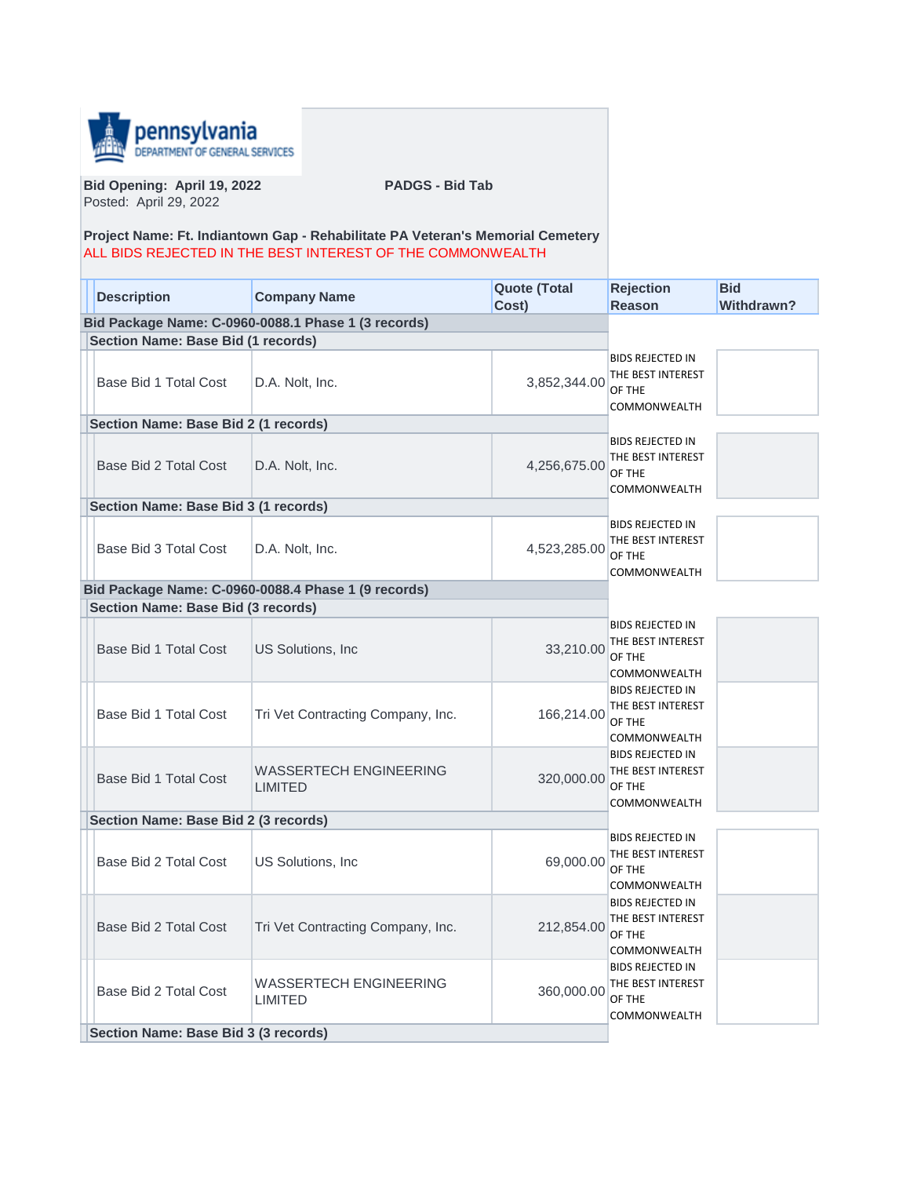

**Bid Opening: April 19, 2022 PADGS - Bid Tab** Posted: April 29, 2022

## **Project Name: Ft. Indiantown Gap - Rehabilitate PA Veteran's Memorial Cemetery** ALL BIDS REJECTED IN THE BEST INTEREST OF THE COMMONWEALTH

| <b>Description</b>                                  | <b>Company Name</b>                             | <b>Quote (Total</b><br>Cost) | <b>Rejection</b><br><b>Reason</b>                                      | <b>Bid</b><br><b>Withdrawn?</b> |
|-----------------------------------------------------|-------------------------------------------------|------------------------------|------------------------------------------------------------------------|---------------------------------|
| Bid Package Name: C-0960-0088.1 Phase 1 (3 records) |                                                 |                              |                                                                        |                                 |
| <b>Section Name: Base Bid (1 records)</b>           |                                                 |                              |                                                                        |                                 |
| Base Bid 1 Total Cost                               | D.A. Nolt, Inc.                                 | 3,852,344.00                 | BIDS REJECTED IN<br>THE BEST INTEREST<br>OF THE<br>COMMONWEALTH        |                                 |
| Section Name: Base Bid 2 (1 records)                |                                                 |                              |                                                                        |                                 |
| Base Bid 2 Total Cost                               | D.A. Nolt, Inc.                                 | 4,256,675.00                 | BIDS REJECTED IN<br>THE BEST INTEREST<br>OF THE<br>COMMONWEALTH        |                                 |
| Section Name: Base Bid 3 (1 records)                |                                                 |                              |                                                                        |                                 |
| Base Bid 3 Total Cost                               | D.A. Nolt, Inc.                                 | 4,523,285.00                 | <b>BIDS REJECTED IN</b><br>THE BEST INTEREST<br>OF THE<br>COMMONWEALTH |                                 |
| Bid Package Name: C-0960-0088.4 Phase 1 (9 records) |                                                 |                              |                                                                        |                                 |
| <b>Section Name: Base Bid (3 records)</b>           |                                                 |                              |                                                                        |                                 |
| Base Bid 1 Total Cost                               | US Solutions, Inc.                              | 33,210.00                    | <b>BIDS REJECTED IN</b><br>THE BEST INTEREST<br>OF THE<br>COMMONWEALTH |                                 |
| Base Bid 1 Total Cost                               | Tri Vet Contracting Company, Inc.               | 166,214.00                   | BIDS REJECTED IN<br>THE BEST INTEREST<br>OF THE<br>COMMONWEALTH        |                                 |
| Base Bid 1 Total Cost                               | <b>WASSERTECH ENGINEERING</b><br><b>LIMITED</b> | 320,000.00                   | <b>BIDS REJECTED IN</b><br>THE BEST INTEREST<br>OF THE<br>COMMONWEALTH |                                 |
| Section Name: Base Bid 2 (3 records)                |                                                 |                              |                                                                        |                                 |
| Base Bid 2 Total Cost                               | <b>US Solutions, Inc.</b>                       | 69,000.00                    | <b>BIDS REJECTED IN</b><br>THE BEST INTEREST<br>OF THE<br>COMMONWEALTH |                                 |
| Base Bid 2 Total Cost                               | Tri Vet Contracting Company, Inc.               | 212,854.00                   | <b>BIDS REJECTED IN</b><br>THE BEST INTEREST<br>OF THE<br>COMMONWEALTH |                                 |
| Base Bid 2 Total Cost                               | WASSERTECH ENGINEERING<br><b>LIMITED</b>        | 360,000.00                   | <b>BIDS REJECTED IN</b><br>THE BEST INTEREST<br>OF THE<br>COMMONWEALTH |                                 |
| Section Name: Base Bid 3 (3 records)                |                                                 |                              |                                                                        |                                 |